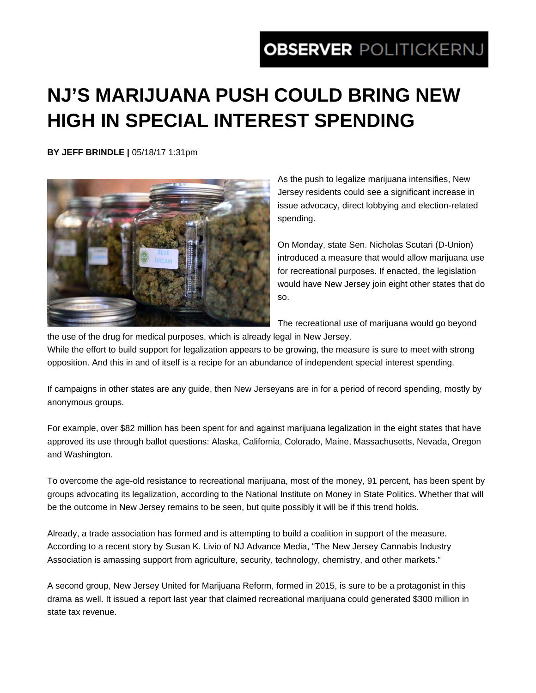## **OBSERVER POLITICKERNJ**

## **NJ'S MARIJUANA PUSH COULD BRING NEW HIGH IN SPECIAL INTEREST SPENDING**

**BY JEFF BRINDLE |** 05/18/17 1:31pm



As the push to legalize marijuana intensifies, New Jersey residents could see a significant increase in issue advocacy, direct lobbying and election-related spending.

On Monday, state Sen. Nicholas Scutari (D-Union) introduced a measure that would allow marijuana use for recreational purposes. If enacted, the legislation would have New Jersey join eight other states that do so.

The recreational use of marijuana would go beyond the use of the drug for medical purposes, which is already legal in New Jersey.

While the effort to build support for legalization appears to be growing, the measure is sure to meet with strong opposition. And this in and of itself is a recipe for an abundance of independent special interest spending.

If campaigns in other states are any guide, then New Jerseyans are in for a period of record spending, mostly by anonymous groups.

For example, over \$82 million has been spent for and against marijuana legalization in the eight states that have approved its use through ballot questions: Alaska, California, Colorado, Maine, Massachusetts, Nevada, Oregon and Washington.

To overcome the age-old resistance to recreational marijuana, most of the money, 91 percent, has been spent by groups advocating its legalization, according to the National Institute on Money in State Politics. Whether that will be the outcome in New Jersey remains to be seen, but quite possibly it will be if this trend holds.

Already, a trade association has formed and is attempting to build a coalition in support of the measure. According to a recent story by Susan K. Livio of NJ Advance Media, "The New Jersey Cannabis Industry Association is amassing support from agriculture, security, technology, chemistry, and other markets."

A second group, New Jersey United for Marijuana Reform, formed in 2015, is sure to be a protagonist in this drama as well. It issued a report last year that claimed recreational marijuana could generated \$300 million in state tax revenue.